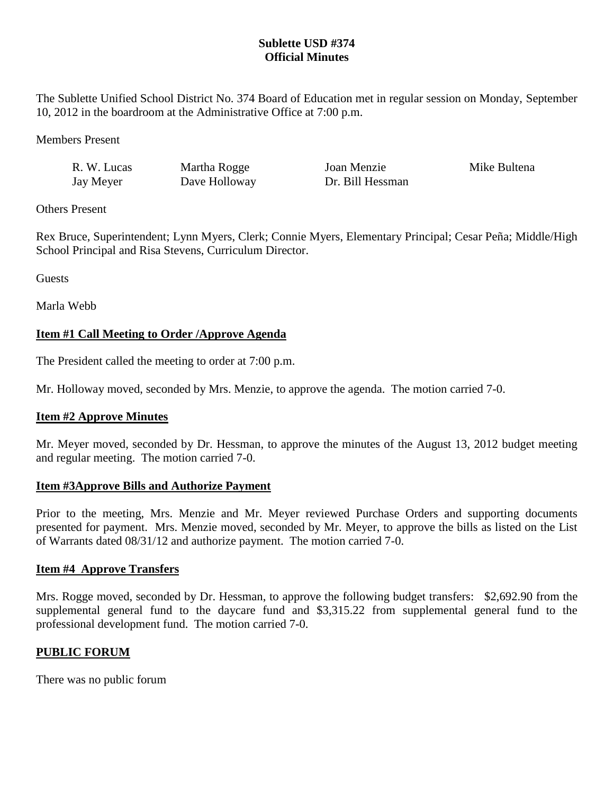## **Sublette USD #374 Official Minutes**

The Sublette Unified School District No. 374 Board of Education met in regular session on Monday, September 10, 2012 in the boardroom at the Administrative Office at 7:00 p.m.

Members Present

| R. W. Lucas | Martha  |
|-------------|---------|
| Jay Meyer   | Dave He |

Rogge Joan Menzie Mike Bultena olloway Dr. Bill Hessman

Others Present

Rex Bruce, Superintendent; Lynn Myers, Clerk; Connie Myers, Elementary Principal; Cesar Peña; Middle/High School Principal and Risa Stevens, Curriculum Director.

**Guests** 

Marla Webb

# **Item #1 Call Meeting to Order /Approve Agenda**

The President called the meeting to order at 7:00 p.m.

Mr. Holloway moved, seconded by Mrs. Menzie, to approve the agenda. The motion carried 7-0.

## **Item #2 Approve Minutes**

Mr. Meyer moved, seconded by Dr. Hessman, to approve the minutes of the August 13, 2012 budget meeting and regular meeting. The motion carried 7-0.

### **Item #3Approve Bills and Authorize Payment**

Prior to the meeting, Mrs. Menzie and Mr. Meyer reviewed Purchase Orders and supporting documents presented for payment. Mrs. Menzie moved, seconded by Mr. Meyer, to approve the bills as listed on the List of Warrants dated 08/31/12 and authorize payment. The motion carried 7-0.

## **Item #4 Approve Transfers**

Mrs. Rogge moved, seconded by Dr. Hessman, to approve the following budget transfers: \$2,692.90 from the supplemental general fund to the daycare fund and \$3,315.22 from supplemental general fund to the professional development fund. The motion carried 7-0.

## **PUBLIC FORUM**

There was no public forum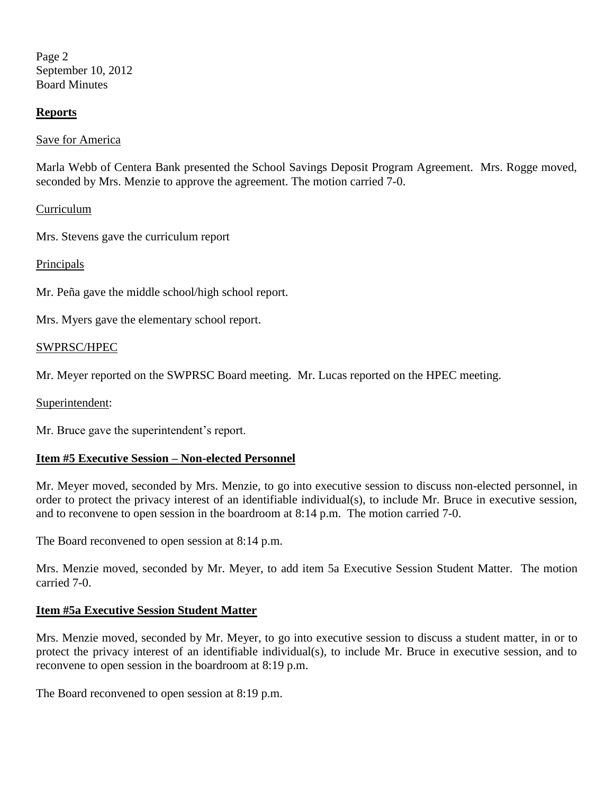Page 2 September 10, 2012 Board Minutes

## **Reports**

Save for America

Marla Webb of Centera Bank presented the School Savings Deposit Program Agreement. Mrs. Rogge moved, seconded by Mrs. Menzie to approve the agreement. The motion carried 7-0.

### Curriculum

Mrs. Stevens gave the curriculum report

### Principals

Mr. Peña gave the middle school/high school report.

Mrs. Myers gave the elementary school report.

### SWPRSC/HPEC

Mr. Meyer reported on the SWPRSC Board meeting. Mr. Lucas reported on the HPEC meeting.

Superintendent:

Mr. Bruce gave the superintendent's report.

### **Item #5 Executive Session – Non-elected Personnel**

Mr. Meyer moved, seconded by Mrs. Menzie, to go into executive session to discuss non-elected personnel, in order to protect the privacy interest of an identifiable individual(s), to include Mr. Bruce in executive session, and to reconvene to open session in the boardroom at 8:14 p.m. The motion carried 7-0.

The Board reconvened to open session at 8:14 p.m.

Mrs. Menzie moved, seconded by Mr. Meyer, to add item 5a Executive Session Student Matter. The motion carried 7-0.

### **Item #5a Executive Session Student Matter**

Mrs. Menzie moved, seconded by Mr. Meyer, to go into executive session to discuss a student matter, in or to protect the privacy interest of an identifiable individual(s), to include Mr. Bruce in executive session, and to reconvene to open session in the boardroom at 8:19 p.m.

The Board reconvened to open session at 8:19 p.m.